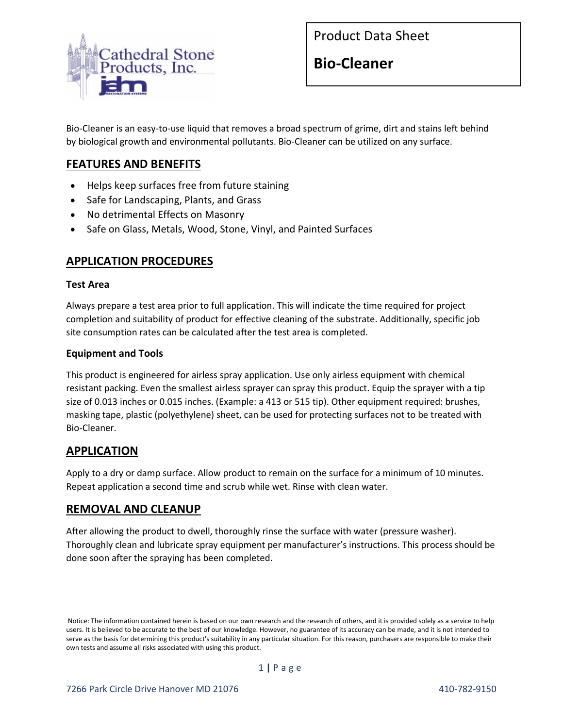

Product Data Sheet

**Bio-Cleaner**

Bio-Cleaner is an easy-to-use liquid that removes a broad spectrum of grime, dirt and stains left behind by biological growth and environmental pollutants. Bio-Cleaner can be utilized on any surface.

# **FEATURES AND BENEFITS**

- Helps keep surfaces free from future staining
- Safe for Landscaping, Plants, and Grass
- No detrimental Effects on Masonry
- Safe on Glass, Metals, Wood, Stone, Vinyl, and Painted Surfaces

# **APPLICATION PROCEDURES**

#### **Test Area**

Always prepare a test area prior to full application. This will indicate the time required for project completion and suitability of product for effective cleaning of the substrate. Additionally, specific job site consumption rates can be calculated after the test area is completed.

#### **Equipment and Tools**

This product is engineered for airless spray application. Use only airless equipment with chemical resistant packing. Even the smallest airless sprayer can spray this product. Equip the sprayer with a tip size of 0.013 inches or 0.015 inches. (Example: a 413 or 515 tip). Other equipment required: brushes, masking tape, plastic (polyethylene) sheet, can be used for protecting surfaces not to be treated with Bio-Cleaner.

## **APPLICATION**

Apply to a dry or damp surface. Allow product to remain on the surface for a minimum of 10 minutes. Repeat application a second time and scrub while wet. Rinse with clean water.

#### **REMOVAL AND CLEANUP**

After allowing the product to dwell, thoroughly rinse the surface with water (pressure washer). Thoroughly clean and lubricate spray equipment per manufacturer's instructions. This process should be done soon after the spraying has been completed.

Notice: The information contained herein is based on our own research and the research of others, and it is provided solely as a service to help users. It is believed to be accurate to the best of our knowledge. However, no guarantee of its accuracy can be made, and it is not intended to serve as the basis for determining this product's suitability in any particular situation. For this reason, purchasers are responsible to make their own tests and assume all risks associated with using this product.